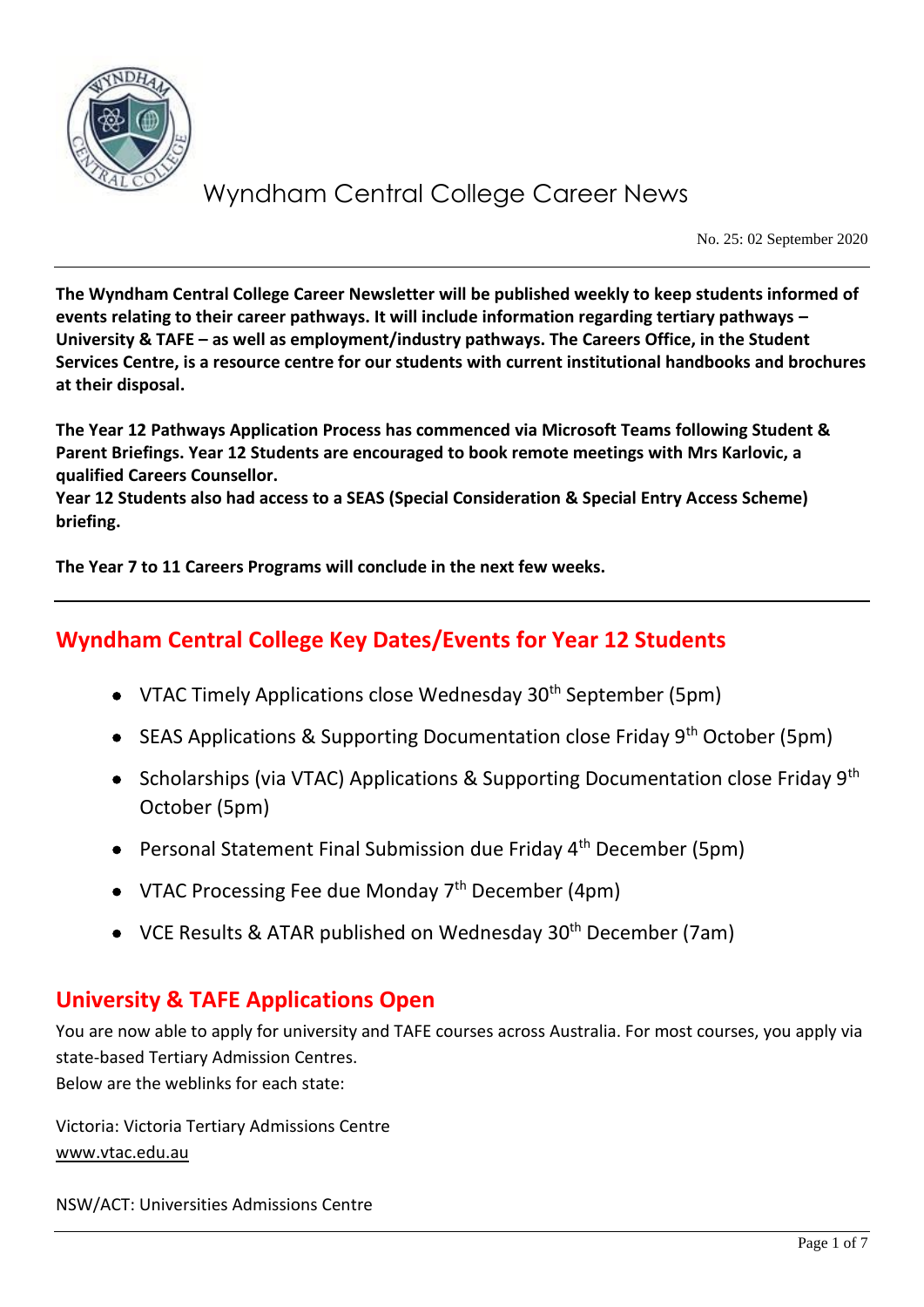

No. 25: 02 September 2020

**The Wyndham Central College Career Newsletter will be published weekly to keep students informed of events relating to their career pathways. It will include information regarding tertiary pathways – University & TAFE – as well as employment/industry pathways. The Careers Office, in the Student Services Centre, is a resource centre for our students with current institutional handbooks and brochures at their disposal.**

**The Year 12 Pathways Application Process has commenced via Microsoft Teams following Student & Parent Briefings. Year 12 Students are encouraged to book remote meetings with Mrs Karlovic, a qualified Careers Counsellor.**

**Year 12 Students also had access to a SEAS (Special Consideration & Special Entry Access Scheme) briefing.** 

**The Year 7 to 11 Careers Programs will conclude in the next few weeks.**

## **Wyndham Central College Key Dates/Events for Year 12 Students**

- VTAC Timely Applications close Wednesday  $30<sup>th</sup>$  September (5pm)
- SEAS Applications & Supporting Documentation close Friday  $9<sup>th</sup>$  October (5pm)
- Scholarships (via VTAC) Applications & Supporting Documentation close Friday 9<sup>th</sup> October (5pm)
- Personal Statement Final Submission due Friday 4<sup>th</sup> December (5pm)
- VTAC Processing Fee due Monday  $7<sup>th</sup>$  December (4pm)
- VCE Results & ATAR published on Wednesday 30<sup>th</sup> December (7am)

## **University & TAFE Applications Open**

You are now able to apply for university and TAFE courses across Australia. For most courses, you apply via state-based Tertiary Admission Centres. Below are the weblinks for each state:

Victoria: Victoria Tertiary Admissions Centre [www.vtac.edu.au](http://www.vtac.edu.au/)

NSW/ACT: Universities Admissions Centre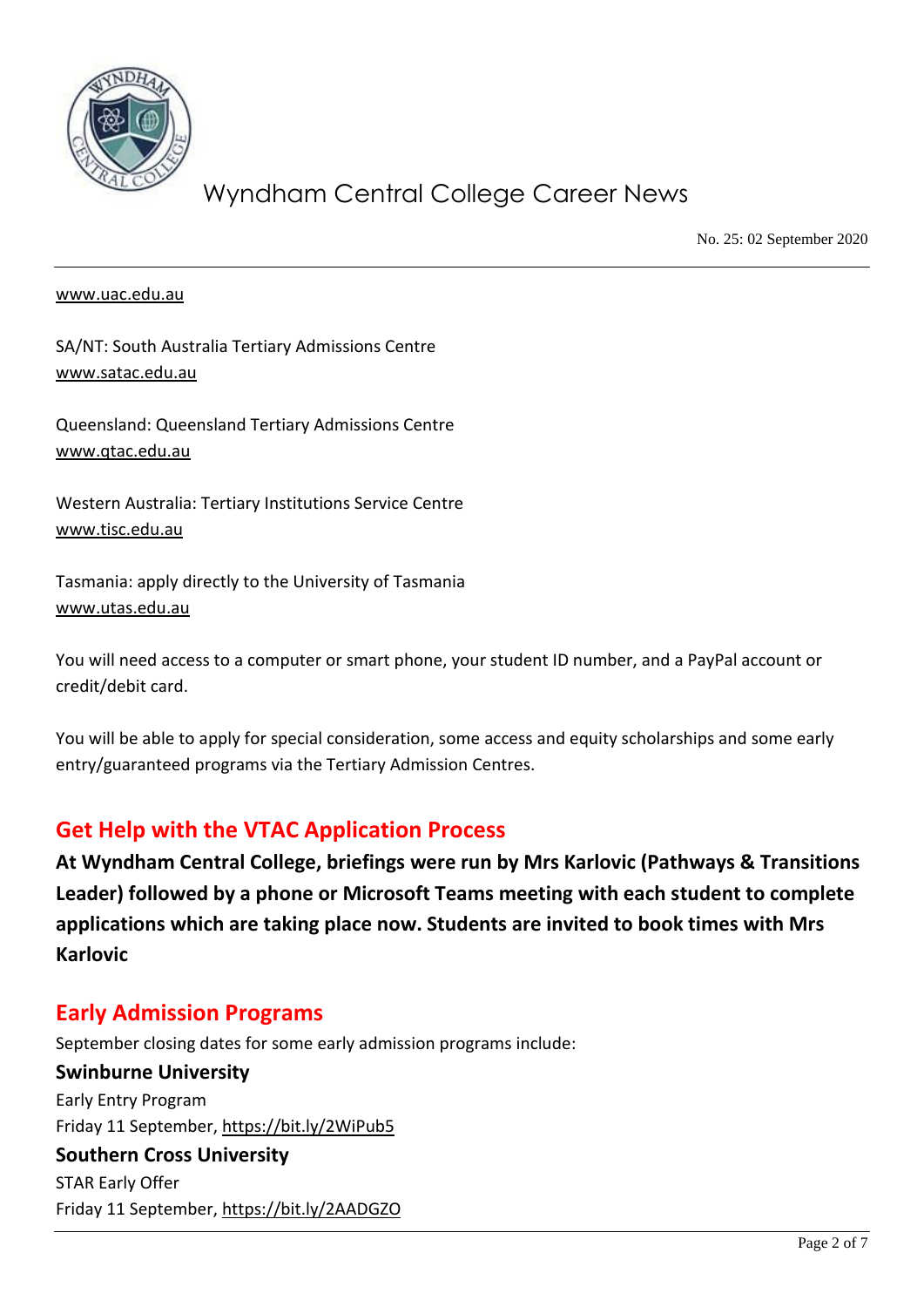

No. 25: 02 September 2020

#### [www.uac.edu.au](http://www.uac.edu.au/)

SA/NT: South Australia Tertiary Admissions Centre [www.satac.edu.au](http://www.satac.edu.au/)

Queensland: Queensland Tertiary Admissions Centre [www.qtac.edu.au](http://www.qtac.edu.au/)

Western Australia: Tertiary Institutions Service Centre [www.tisc.edu.au](http://www.tisc.edu.au/)

Tasmania: apply directly to the University of Tasmania [www.utas.edu.au](http://www.utas.edu.au/)

You will need access to a computer or smart phone, your student ID number, and a PayPal account or credit/debit card.

You will be able to apply for special consideration, some access and equity scholarships and some early entry/guaranteed programs via the Tertiary Admission Centres.

### **Get Help with the VTAC Application Process**

**At Wyndham Central College, briefings were run by Mrs Karlovic (Pathways & Transitions Leader) followed by a phone or Microsoft Teams meeting with each student to complete applications which are taking place now. Students are invited to book times with Mrs Karlovic**

### **Early Admission Programs**

September closing dates for some early admission programs include: **Swinburne University** Early Entry Program Friday 11 September,<https://bit.ly/2WiPub5> **Southern Cross University** STAR Early Offer Friday 11 September,<https://bit.ly/2AADGZO>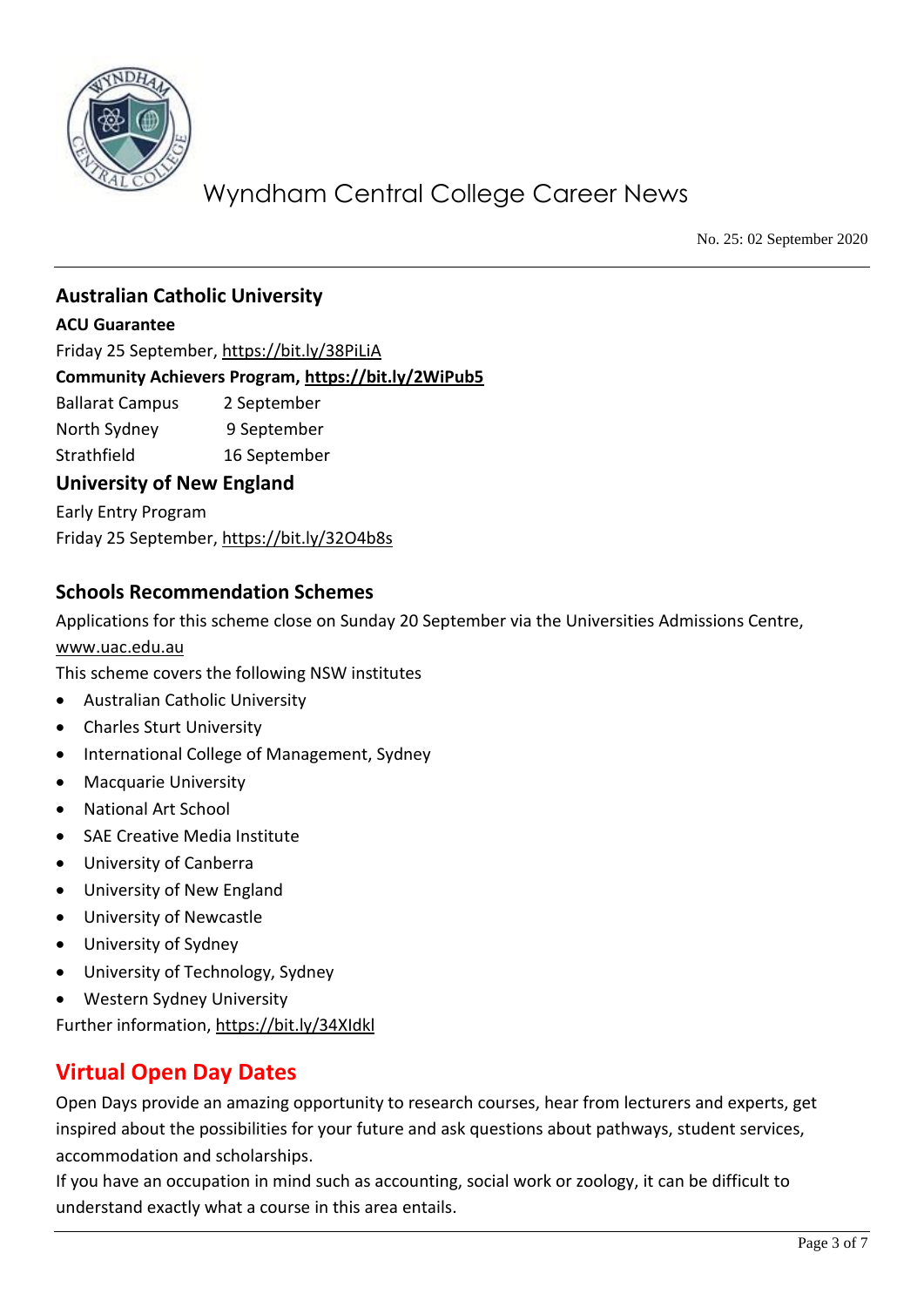

No. 25: 02 September 2020

### **Australian Catholic University**

#### **ACU Guarantee**

Friday 25 September,<https://bit.ly/38PiLiA>

#### **Community Achievers Program,<https://bit.ly/2WiPub5>**

Ballarat Campus 2 September

North Sydney 9 September

Strathfield 16 September

#### **University of New England**

Early Entry Program Friday 25 September,<https://bit.ly/32O4b8s>

#### **Schools Recommendation Schemes**

Applications for this scheme close on Sunday 20 September via the Universities Admissions Centre, [www.uac.edu.au](http://www.uac.edu.au/)

This scheme covers the following NSW institutes

- Australian Catholic University
- Charles Sturt University
- International College of Management, Sydney
- Macquarie University
- National Art School
- SAE Creative Media Institute
- University of Canberra
- University of New England
- University of Newcastle
- University of Sydney
- University of Technology, Sydney
- Western Sydney University

Further information,<https://bit.ly/34XIdkl>

## **Virtual Open Day Dates**

Open Days provide an amazing opportunity to research courses, hear from lecturers and experts, get inspired about the possibilities for your future and ask questions about pathways, student services, accommodation and scholarships.

If you have an occupation in mind such as accounting, social work or zoology, it can be difficult to understand exactly what a course in this area entails.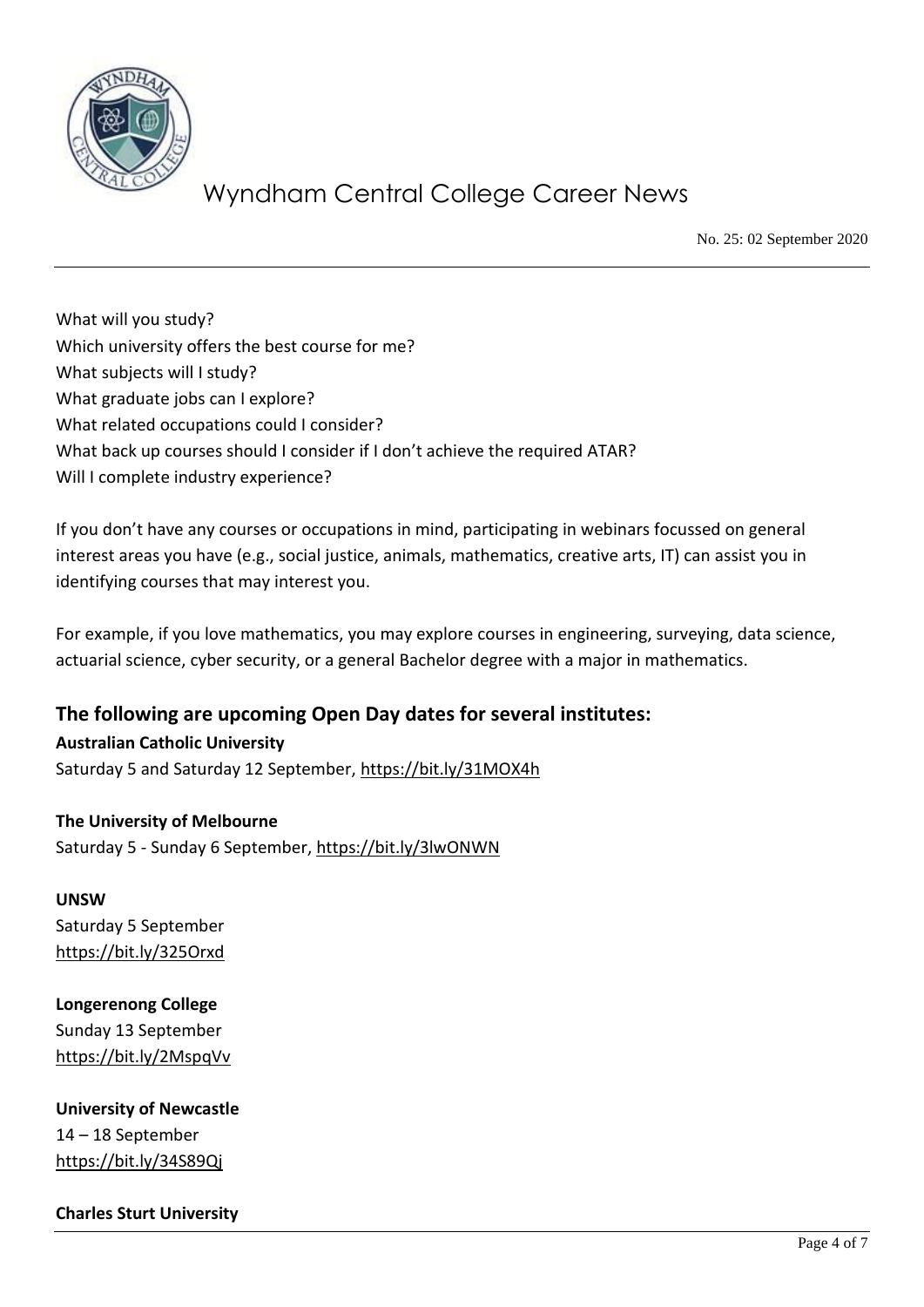

No. 25: 02 September 2020

What will you study? Which university offers the best course for me? What subjects will I study? What graduate jobs can I explore? What related occupations could I consider? What back up courses should I consider if I don't achieve the required ATAR? Will I complete industry experience?

If you don't have any courses or occupations in mind, participating in webinars focussed on general interest areas you have (e.g., social justice, animals, mathematics, creative arts, IT) can assist you in identifying courses that may interest you.

For example, if you love mathematics, you may explore courses in engineering, surveying, data science, actuarial science, cyber security, or a general Bachelor degree with a major in mathematics.

**The following are upcoming Open Day dates for several institutes: Australian Catholic University** 

Saturday 5 and Saturday 12 September,<https://bit.ly/31MOX4h>

#### **The University of Melbourne**

Saturday 5 - Sunday 6 September,<https://bit.ly/3lwONWN>

### **UNSW** Saturday 5 September <https://bit.ly/325Orxd>

### **Longerenong College** Sunday 13 September <https://bit.ly/2MspqVv>

**University of Newcastle** 14 – 18 September <https://bit.ly/34S89Qj>

#### **Charles Sturt University**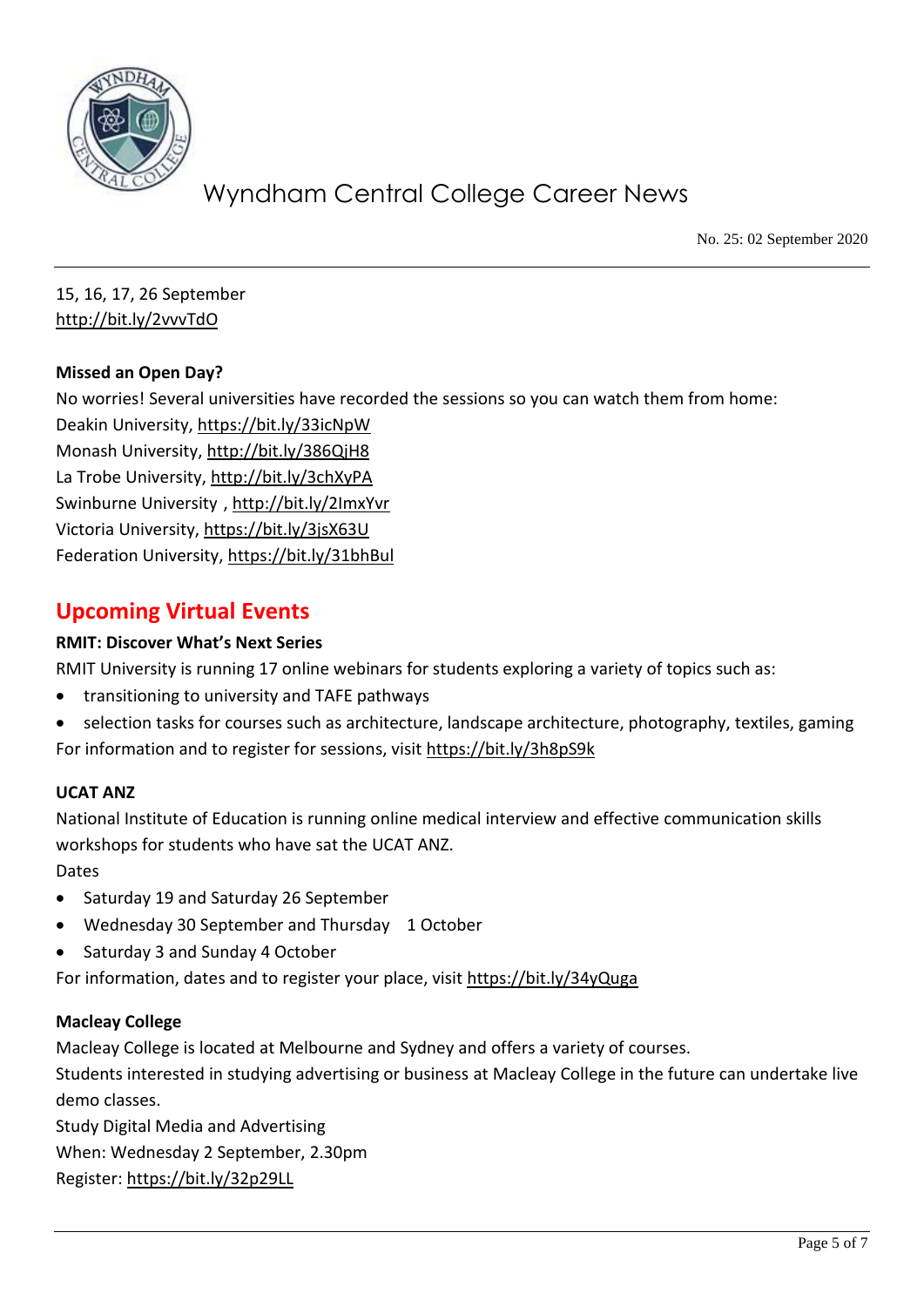

No. 25: 02 September 2020

15, 16, 17, 26 September <http://bit.ly/2vvvTdO>

#### **Missed an Open Day?**

No worries! Several universities have recorded the sessions so you can watch them from home: Deakin University,<https://bit.ly/33icNpW> Monash University,<http://bit.ly/386QjH8> La Trobe University,<http://bit.ly/3chXyPA> Swinburne University [, http://bit.ly/2ImxYvr](http://bit.ly/2ImxYvr) Victoria University,<https://bit.ly/3jsX63U> Federation University[, https://bit.ly/31bhBul](https://bit.ly/31bhBul)

## **Upcoming Virtual Events**

#### **RMIT: Discover What's Next Series**

RMIT University is running 17 online webinars for students exploring a variety of topics such as:

- transitioning to university and TAFE pathways
- selection tasks for courses such as architecture, landscape architecture, photography, textiles, gaming For information and to register for sessions, visit<https://bit.ly/3h8pS9k>

#### **UCAT ANZ**

National Institute of Education is running online medical interview and effective communication skills workshops for students who have sat the UCAT ANZ. Dates

- Saturday 19 and Saturday 26 September
- Wednesday 30 September and Thursday 1 October
- Saturday 3 and Sunday 4 October

For information, dates and to register your place, visit<https://bit.ly/34yQuga>

#### **Macleay College**

Macleay College is located at Melbourne and Sydney and offers a variety of courses.

Students interested in studying advertising or business at Macleay College in the future can undertake live demo classes.

Study Digital Media and Advertising When: Wednesday 2 September, 2.30pm Register[: https://bit.ly/32p29LL](https://bit.ly/32p29LL)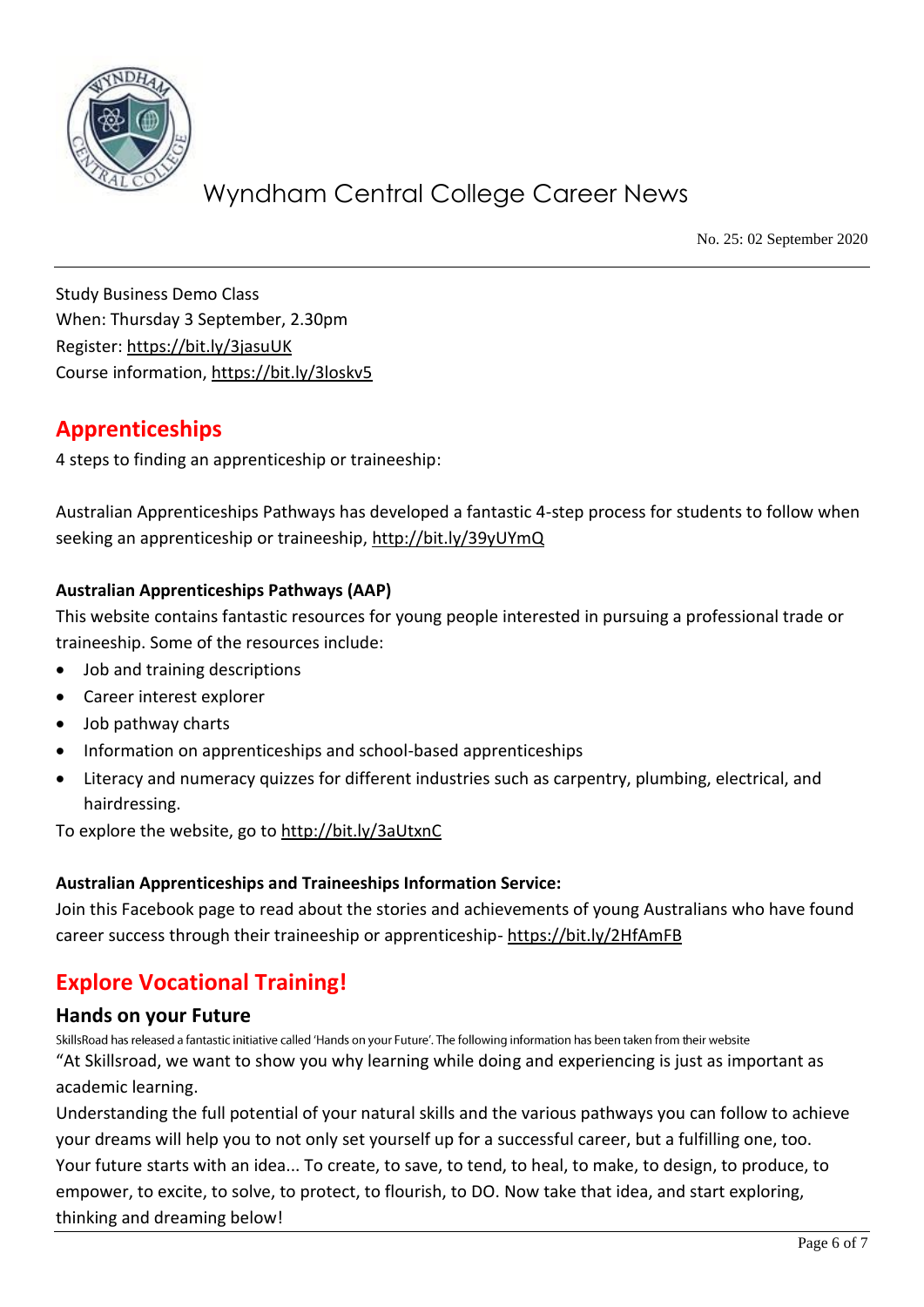

No. 25: 02 September 2020

Study Business Demo Class When: Thursday 3 September, 2.30pm Register[: https://bit.ly/3jasuUK](https://bit.ly/3jasuUK) Course information,<https://bit.ly/3loskv5>

## **Apprenticeships**

4 steps to finding an apprenticeship or traineeship:

Australian Apprenticeships Pathways has developed a fantastic 4-step process for students to follow when seeking an apprenticeship or traineeship,<http://bit.ly/39yUYmQ>

#### **Australian Apprenticeships Pathways (AAP)**

This website contains fantastic resources for young people interested in pursuing a professional trade or traineeship. Some of the resources include:

- Job and training descriptions
- Career interest explorer
- Job pathway charts
- Information on apprenticeships and school-based apprenticeships
- Literacy and numeracy quizzes for different industries such as carpentry, plumbing, electrical, and hairdressing.

To explore the website, go to<http://bit.ly/3aUtxnC>

#### **Australian Apprenticeships and Traineeships Information Service:**

Join this Facebook page to read about the stories and achievements of young Australians who have found career success through their traineeship or apprenticeship- <https://bit.ly/2HfAmFB>

## **Explore Vocational Training!**

#### **Hands on your Future**

SkillsRoad has released a fantastic initiative called 'Hands on your Future'. The following information has been taken from their website "At Skillsroad, we want to show you why learning while doing and experiencing is just as important as academic learning.

Understanding the full potential of your natural skills and the various pathways you can follow to achieve your dreams will help you to not only set yourself up for a successful career, but a fulfilling one, too. Your future starts with an idea... To create, to save, to tend, to heal, to make, to design, to produce, to empower, to excite, to solve, to protect, to flourish, to DO. Now take that idea, and start exploring, thinking and dreaming below!